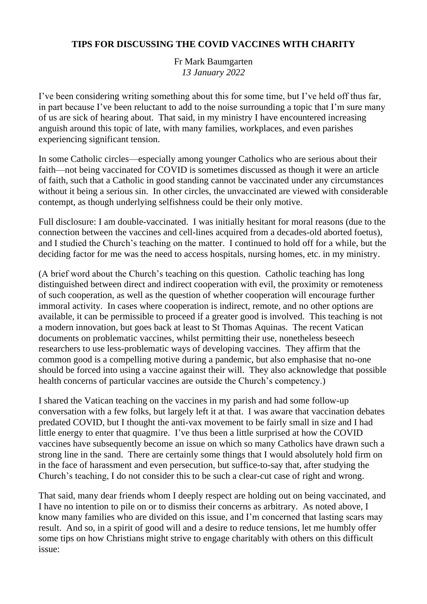## **TIPS FOR DISCUSSING THE COVID VACCINES WITH CHARITY**

### Fr Mark Baumgarten *13 January 2022*

I've been considering writing something about this for some time, but I've held off thus far, in part because I've been reluctant to add to the noise surrounding a topic that I'm sure many of us are sick of hearing about. That said, in my ministry I have encountered increasing anguish around this topic of late, with many families, workplaces, and even parishes experiencing significant tension.

In some Catholic circles—especially among younger Catholics who are serious about their faith—not being vaccinated for COVID is sometimes discussed as though it were an article of faith, such that a Catholic in good standing cannot be vaccinated under any circumstances without it being a serious sin. In other circles, the unvaccinated are viewed with considerable contempt, as though underlying selfishness could be their only motive.

Full disclosure: I am double-vaccinated. I was initially hesitant for moral reasons (due to the connection between the vaccines and cell-lines acquired from a decades-old aborted foetus), and I studied the Church's teaching on the matter. I continued to hold off for a while, but the deciding factor for me was the need to access hospitals, nursing homes, etc. in my ministry.

(A brief word about the Church's teaching on this question. Catholic teaching has long distinguished between direct and indirect cooperation with evil, the proximity or remoteness of such cooperation, as well as the question of whether cooperation will encourage further immoral activity. In cases where cooperation is indirect, remote, and no other options are available, it can be permissible to proceed if a greater good is involved. This teaching is not a modern innovation, but goes back at least to St Thomas Aquinas. The recent Vatican documents on problematic vaccines, whilst permitting their use, nonetheless beseech researchers to use less-problematic ways of developing vaccines. They affirm that the common good is a compelling motive during a pandemic, but also emphasise that no-one should be forced into using a vaccine against their will. They also acknowledge that possible health concerns of particular vaccines are outside the Church's competency.)

I shared the Vatican teaching on the vaccines in my parish and had some follow-up conversation with a few folks, but largely left it at that. I was aware that vaccination debates predated COVID, but I thought the anti-vax movement to be fairly small in size and I had little energy to enter that quagmire. I've thus been a little surprised at how the COVID vaccines have subsequently become an issue on which so many Catholics have drawn such a strong line in the sand. There are certainly some things that I would absolutely hold firm on in the face of harassment and even persecution, but suffice-to-say that, after studying the Church's teaching, I do not consider this to be such a clear-cut case of right and wrong.

That said, many dear friends whom I deeply respect are holding out on being vaccinated, and I have no intention to pile on or to dismiss their concerns as arbitrary. As noted above, I know many families who are divided on this issue, and I'm concerned that lasting scars may result. And so, in a spirit of good will and a desire to reduce tensions, let me humbly offer some tips on how Christians might strive to engage charitably with others on this difficult issue: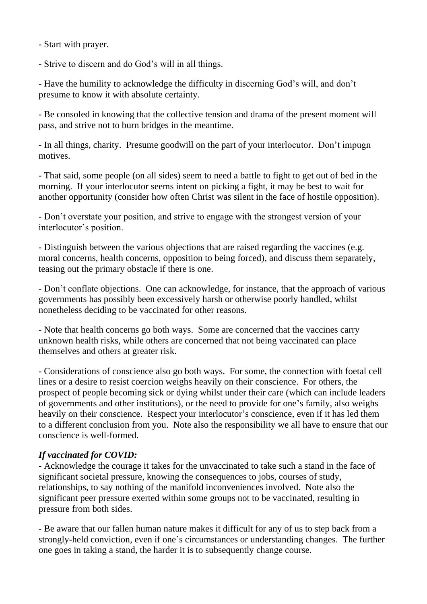- Start with prayer.

- Strive to discern and do God's will in all things.

- Have the humility to acknowledge the difficulty in discerning God's will, and don't presume to know it with absolute certainty.

- Be consoled in knowing that the collective tension and drama of the present moment will pass, and strive not to burn bridges in the meantime.

- In all things, charity. Presume goodwill on the part of your interlocutor. Don't impugn motives.

- That said, some people (on all sides) seem to need a battle to fight to get out of bed in the morning. If your interlocutor seems intent on picking a fight, it may be best to wait for another opportunity (consider how often Christ was silent in the face of hostile opposition).

- Don't overstate your position, and strive to engage with the strongest version of your interlocutor's position.

- Distinguish between the various objections that are raised regarding the vaccines (e.g. moral concerns, health concerns, opposition to being forced), and discuss them separately, teasing out the primary obstacle if there is one.

- Don't conflate objections. One can acknowledge, for instance, that the approach of various governments has possibly been excessively harsh or otherwise poorly handled, whilst nonetheless deciding to be vaccinated for other reasons.

- Note that health concerns go both ways. Some are concerned that the vaccines carry unknown health risks, while others are concerned that not being vaccinated can place themselves and others at greater risk.

- Considerations of conscience also go both ways. For some, the connection with foetal cell lines or a desire to resist coercion weighs heavily on their conscience. For others, the prospect of people becoming sick or dying whilst under their care (which can include leaders of governments and other institutions), or the need to provide for one's family, also weighs heavily on their conscience. Respect your interlocutor's conscience, even if it has led them to a different conclusion from you. Note also the responsibility we all have to ensure that our conscience is well-formed.

## *If vaccinated for COVID:*

- Acknowledge the courage it takes for the unvaccinated to take such a stand in the face of significant societal pressure, knowing the consequences to jobs, courses of study, relationships, to say nothing of the manifold inconveniences involved. Note also the significant peer pressure exerted within some groups not to be vaccinated, resulting in pressure from both sides.

- Be aware that our fallen human nature makes it difficult for any of us to step back from a strongly-held conviction, even if one's circumstances or understanding changes. The further one goes in taking a stand, the harder it is to subsequently change course.